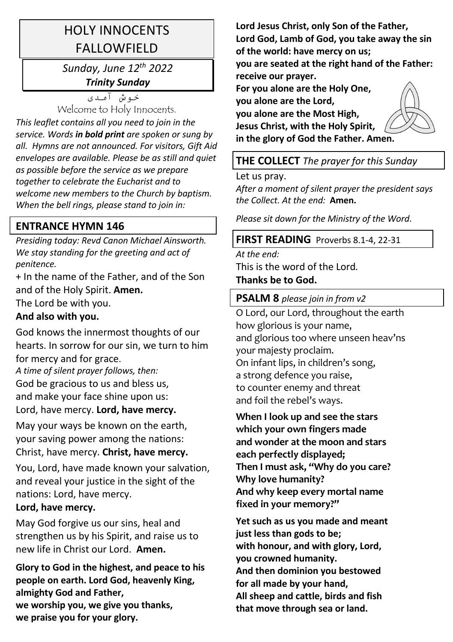# HOLY INNOCENTS **FALLOWFIFLD**

## *Sunday, June 12th 2022 Trinity Sunday*

خوش آمدی Welcome to Holy Innocents.

*This leaflet contains all you need to join in the service. Words in bold print are spoken or sung by all. Hymns are not announced. For visitors, Gift Aid envelopes are available. Please be as still and quiet as possible before the service as we prepare together to celebrate the Eucharist and to welcome new members to the Church by baptism. When the bell rings, please stand to join in:* 

## **ENTRANCE HYMN 146**

*Presiding today: Revd Canon Michael Ainsworth. We stay standing for the greeting and act of penitence.* 

+ In the name of the Father, and of the Son and of the Holy Spirit. **Amen.** The Lord be with you.

## **And also with you.**

God knows the innermost thoughts of our hearts. In sorrow for our sin, we turn to him for mercy and for grace.

*A time of silent prayer follows, then:*  God be gracious to us and bless us, and make your face shine upon us: Lord, have mercy. **Lord, have mercy.**

May your ways be known on the earth, your saving power among the nations: Christ, have mercy. **Christ, have mercy.**

You, Lord, have made known your salvation, and reveal your justice in the sight of the nations: Lord, have mercy.

## **Lord, have mercy.**

May God forgive us our sins, heal and strengthen us by his Spirit, and raise us to new life in Christ our Lord. **Amen.**

**Glory to God in the highest, and peace to his people on earth. Lord God, heavenly King, almighty God and Father, we worship you, we give you thanks, we praise you for your glory.** 

**Lord Jesus Christ, only Son of the Father, Lord God, Lamb of God, you take away the sin of the world: have mercy on us;** 

**you are seated at the right hand of the Father: receive our prayer.** 

**For you alone are the Holy One, you alone are the Lord, you alone are the Most High, Jesus Christ, with the Holy Spirit, in the glory of God the Father. Amen.**



## **THE COLLECT** *The prayer for this Sunday*

Let us pray.

*After a moment of silent prayer the president says the Collect. At the end:* **Amen.**

*Please sit down for the Ministry of the Word*.

## **FIRST READING** Proverbs 8.1-4, 22-31

*At the end:* This is the word of the Lord*.*

#### **Thanks be to God.**

**PSALM 8** *please join in from v2*

O Lord, our Lord, throughout the earth how glorious is your name, and glorious too where unseen heav'ns your majesty proclaim. On infant lips, in children's song, a strong defence you raise, to counter enemy and threat and foil the rebel's ways.

**When I look up and see the stars which your own fingers made and wonder at the moon and stars each perfectly displayed; Then I must ask, "Why do you care? Why love humanity? And why keep every mortal name fixed in your memory?"** 

**Yet such as us you made and meant just less than gods to be; with honour, and with glory, Lord, you crowned humanity. And then dominion you bestowed for all made by your hand, All sheep and cattle, birds and fish that move through sea or land.**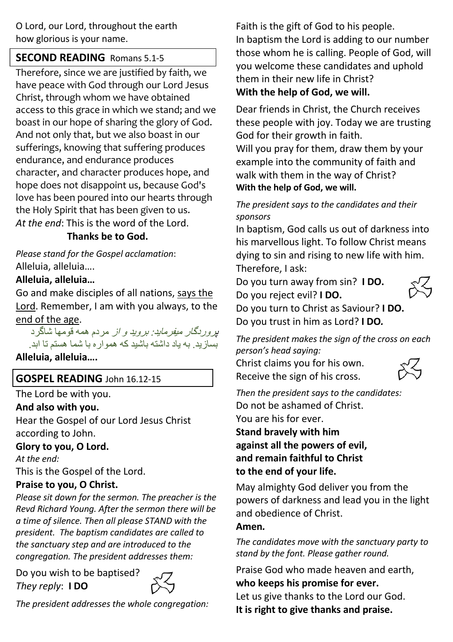O Lord, our Lord, throughout the earth how glorious is your name.

## **SECOND READING** Romans 5.1-5

Therefore, since we are justified by faith, we have peace with God through our Lord Jesus Christ, through whom we have obtained access to this grace in which we stand; and we boast in our hope of sharing the glory of God. And not only that, but we also boast in our sufferings, knowing that suffering produces endurance, and endurance produces character, and character produces hope, and hope does not disappoint us, because God's love has been poured into our hearts through the Holy Spirit that has been given to us. *At the end*: This is the word of the Lord.

#### **Thanks be to God.**

*Please stand for the Gospel acclamation*: Alleluia, alleluia….

#### **Alleluia, alleluia…**

Go and make disciples of all nations, says the Lord. Remember, I am with you always, to the end of the age.

بر وربگار م*یفرماید: بروید و از* مردم همه قومها شاگرد بسازید. به یاد داشته باشید که همواره با شما هستم تا ابد.

**Alleluia, alleluia….**

## **GOSPEL READING** John 16.12-15

The Lord be with you.

#### **And also with you.**

Hear the Gospel of our Lord Jesus Christ according to John.

#### **Glory to you, O Lord.**

*At the end:*

This is the Gospel of the Lord.

#### **Praise to you, O Christ.**

*Please sit down for the sermon. The preacher is the Revd Richard Young. After the sermon there will be a time of silence. Then all please STAND with the president. The baptism candidates are called to the sanctuary step and are introduced to the congregation. The president addresses them:* 

Do you wish to be baptised? *They reply*: **I DO**



*The president addresses the whole congregation:*

Faith is the gift of God to his people.

In baptism the Lord is adding to our number those whom he is calling. People of God, will you welcome these candidates and uphold them in their new life in Christ? **With the help of God, we will.**

Dear friends in Christ, the Church receives these people with joy. Today we are trusting God for their growth in faith. Will you pray for them, draw them by your example into the community of faith and walk with them in the way of Christ?

**With the help of God, we will.**

#### *The president says to the candidates and their sponsors*

In baptism, God calls us out of darkness into his marvellous light. To follow Christ means dying to sin and rising to new life with him. Therefore, I ask:

Do you turn away from sin? **I DO.** Do you reject evil? **I DO.**



Do you turn to Christ as Saviour? **I DO.** Do you trust in him as Lord? **I DO***.*

*The president makes the sign of the cross on each person's head saying:* 

Christ claims you for his own. Receive the sign of his cross.



*Then the president says to the candidates:*  Do not be ashamed of Christ. You are his for ever. **Stand bravely with him against all the powers of evil, and remain faithful to Christ to the end of your life.**

May almighty God deliver you from the powers of darkness and lead you in the light and obedience of Christ.

#### **Amen***.*

*The candidates move with the sanctuary party to stand by the font. Please gather round.* 

Praise God who made heaven and earth, **who keeps his promise for ever.** Let us give thanks to the Lord our God. **It is right to give thanks and praise.**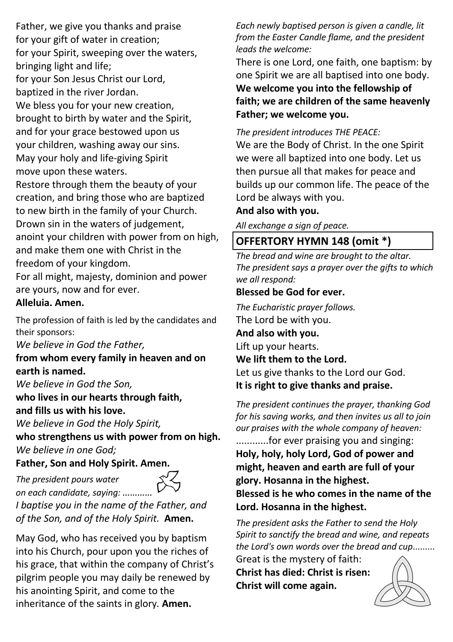Father, we give you thanks and praise for your gift of water in creation; for your Spirit, sweeping over the waters, bringing light and life; for your Son Jesus Christ our Lord, baptized in the river Jordan. We bless you for your new creation. brought to birth by water and the Spirit, and for your grace bestowed upon us your children, washing away our sins. May your holy and life-giving Spirit move upon these waters. Restore through them the beauty of your creation, and bring those who are baptized to new birth in the family of your Church. Drown sin in the waters of judgement, anoint your children with power from on high, and make them one with Christ in the freedom of your kingdom.

For all might, majesty, dominion and power are yours, now and for ever.

#### **Alleluia. Amen.**

The profession of faith is led by the candidates and their sponsors:

*We believe in God the Father,*

**from whom every family in heaven and on earth is named.**

*We believe in God the Son,*

*The president pours water* 

**who lives in our hearts through faith, and fills us with his love.**

*We believe in God the Holy Spirit,*

**who strengthens us with power from on high.** *We believe in one God;*

#### **Father, Son and Holy Spirit. Amen.**



*on each candidate, saying: ………… I baptise you in the name of the Father, and of the Son, and of the Holy Spirit.* **Amen.**

May God, who has received you by baptism into his Church, pour upon you the riches of his grace, that within the company of Christ's pilgrim people you may daily be renewed by his anointing Spirit, and come to the inheritance of the saints in glory*.* **Amen.**

*Each newly baptised person is given a candle, lit from the Easter Candle flame, and the president leads the welcome:* 

There is one Lord, one faith, one baptism: by one Spirit we are all baptised into one body. **We welcome you into the fellowship of faith; we are children of the same heavenly Father; we welcome you.**

*The president introduces THE PEACE:*

We are the Body of Christ. In the one Spirit we were all baptized into one body. Let us then pursue all that makes for peace and builds up our common life. The peace of the Lord be always with you.

#### **And also with you.**

*All exchange a sign of peace.* 

## **OFFERTORY HYMN 148 (omit \*)**

*The bread and wine are brought to the altar. The president says a prayer over the gifts to which we all respond:*

#### **Blessed be God for ever.**

*The Eucharistic prayer follows.* The Lord be with you. **And also with you.** Lift up your hearts. **We lift them to the Lord.** Let us give thanks to the Lord our God. **It is right to give thanks and praise.**

*The president continues the prayer, thanking God for his saving works, and then invites us all to join our praises with the whole company of heaven:*  ............for ever praising you and singing: **Holy, holy, holy Lord, God of power and might, heaven and earth are full of your glory. Hosanna in the highest. Blessed is he who comes in the name of the** 

**Lord. Hosanna in the highest.**

*The president asks the Father to send the Holy Spirit to sanctify the bread and wine, and repeats the Lord's own words over the bread and cup*......... Great is the mystery of faith:

**Christ has died: Christ is risen: Christ will come again.**